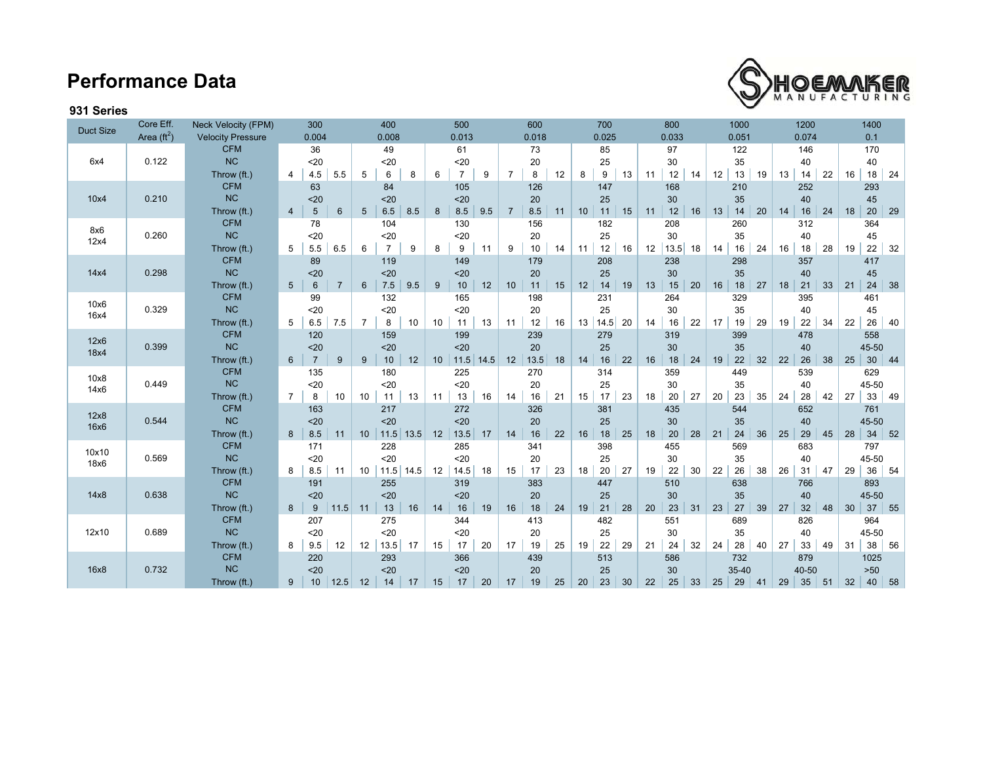## **Performance Data**



## **931 Series**

| <b>Duct Size</b>     | Core Eff. | <b>Neck Velocity (FPM)</b> | 300                           |                       | 400                 |    | 500                 | 600             |       |       | 700        |    |       | 800          |       | 1000     |       | 1200  |     | 1400 |        |    |  |  |
|----------------------|-----------|----------------------------|-------------------------------|-----------------------|---------------------|----|---------------------|-----------------|-------|-------|------------|----|-------|--------------|-------|----------|-------|-------|-----|------|--------|----|--|--|
| Area $(\text{ft}^2)$ |           | <b>Velocity Pressure</b>   | 0.004                         |                       | 0.008               |    | 0.013               |                 | 0.018 | 0.025 |            |    | 0.033 |              | 0.051 |          | 0.074 |       | 0.1 |      |        |    |  |  |
|                      |           | <b>CFM</b>                 | 36                            |                       | 49                  |    | 61                  |                 | 73    | 85    |            |    | 97    |              | 122   | 146      |       |       | 170 |      |        |    |  |  |
| 6x4                  | 0.122     | <b>NC</b>                  | $20$                          |                       | $20$                |    | $20$                |                 | 20    |       | 25         |    | 30    |              |       | 35       | 40    |       |     | 40   |        |    |  |  |
|                      |           | Throw (ft.)                | 4.5<br>4                      | 5.5<br>5              | 6<br>8              | 6  | $\overline{7}$<br>9 | $\overline{7}$  | 8     | 12    | 9<br>8     | 13 | 11    | 12<br>14     | 12    | 13<br>19 | 13    | 14    | 22  | 16   | $18\,$ | 24 |  |  |
|                      |           | <b>CFM</b>                 | 63                            |                       | 84                  |    | 105                 |                 | 126   |       | 147        |    |       | 168          |       | 210      |       | 252   |     |      | 293    |    |  |  |
| 10x4                 | 0.210     | NC                         | $20$                          |                       | $20$                |    | $20$                |                 | 20    |       | 25         |    |       | 30           |       | 35       |       | 40    |     |      | 45     |    |  |  |
|                      |           | Throw (ft.)                | $\sqrt{5}$<br>$\overline{4}$  | $6\phantom{1}$<br>5   | $6.5\,$<br>8.5      | 8  | 8.5<br>9.5          | $\overline{7}$  | 8.5   | 11    | 11<br>10   | 15 | 11    | 12<br>16     | 13    | 14<br>20 | 14    | 16    | 24  | 18   | 20     | 29 |  |  |
| 8x6<br>12x4          | 0.260     | <b>CFM</b>                 | 78                            |                       | 104                 |    | 130                 |                 | 156   |       | 182        |    |       | 208          |       | 260      |       | 312   |     |      | 364    |    |  |  |
|                      |           | <b>NC</b>                  | 20                            |                       | $20$                |    | $20$                |                 | 20    |       | 25         |    |       | 30           |       | 35       |       | 40    |     |      | 45     |    |  |  |
|                      |           | Throw (ft.)                | 5<br>5.5                      | 6.5<br>6              | $\overline{7}$<br>9 | 8  | 9<br>11             | 9               | 10    | 14    | 12<br>11   | 16 | 12    | 13.5<br>18   | 14    | 16<br>24 | 16    | 18    | 28  | 19   | 22     | 32 |  |  |
|                      |           | <b>CFM</b>                 | 89                            |                       | 119                 |    | 149                 |                 | 179   |       | 208        |    |       | 238          |       | 298      |       | 357   |     |      | 417    |    |  |  |
| 14x4                 | 0.298     | <b>NC</b>                  | $20$                          |                       | $20$                |    | $20$                |                 | 20    |       | 25         |    |       | 30           |       | 35       |       | 40    |     |      | 45     |    |  |  |
|                      |           | Throw (ft.)                | 6<br>5 <sup>5</sup>           | $\overline{7}$<br>6   | $7.5\,$<br>9.5      | 9  | 10<br>12            | 10 <sup>°</sup> | 11    | 15    | 12<br>14   | 19 | 13    | 15<br>20     | 16    | 18<br>27 | 18    | 21    | 33  | 21   | 24     | 38 |  |  |
| 10x6<br>16x4         | 0.329     | <b>CFM</b>                 | 99                            |                       | 132                 |    | 165                 |                 | 198   |       | 231        |    |       | 264          |       | 329      |       | 395   |     |      | 461    |    |  |  |
|                      |           | NC                         | 20                            |                       | $20$                |    | $20$                |                 | 20    |       | 25         |    |       | 30           |       | 35       |       | 40    |     |      | 45     |    |  |  |
|                      |           | Throw (ft.)                | 6.5<br>5                      | 7.5<br>$\overline{7}$ | 10<br>8             | 10 | 11<br>13            | 11              | 12    | 16    | 13<br>14.5 | 20 | 14    | 16<br>22     | 17    | 19<br>29 | 19    | 22    | 34  | 22   | 26     | 40 |  |  |
| 12x6<br>18x4         | 0.399     | <b>CFM</b>                 | 120                           |                       | 159                 |    | 199                 |                 | 239   |       | 279        |    |       | 319          |       | 399      |       | 478   |     |      | 558    |    |  |  |
|                      |           | <b>NC</b>                  | $20$                          |                       | $20$                |    | $20$                |                 | 20    |       | 25         |    |       | 30           |       | 35       |       | 40    |     |      | 45-50  |    |  |  |
|                      |           | Throw (ft.)                | $\overline{7}$<br>$6^{\circ}$ | 9<br>9                | 10<br>12            | 10 | $11.5$<br>14.5      | 12              | 13.5  | 18    | 14<br>16   | 22 | 16    | 18<br>24     | 19    | 22<br>32 | 22    | 26    | 38  | 25   | 30     | 44 |  |  |
|                      | 0.449     | <b>CFM</b>                 | 135                           |                       | 180                 |    | 225                 |                 | 270   |       | 314        |    |       | 359          |       | 449      |       | 539   |     |      | 629    |    |  |  |
| 10x8<br>14x6         |           | <b>NC</b>                  | $20$                          |                       | $20$                |    | $20$                |                 | 20    |       | 25         |    |       | 30           |       | 35       |       | 40    |     |      | 45-50  |    |  |  |
|                      |           | Throw (ft.)                | 8<br>$\overline{7}$           | 10<br>10              | 13<br>11            | 11 | 16<br>13            | 14              | 16    | 21    | 15<br>17   | 23 | 18    | $20\,$<br>27 | 20    | 23<br>35 | 24    | 28    | 42  | 27   | 33     | 49 |  |  |
|                      | 0.544     | <b>CFM</b>                 | 163                           |                       | 217                 |    | 272                 |                 | 326   | 381   |            |    | 435   | 544          |       | 652      |       |       | 761 |      |        |    |  |  |
| 12x8<br>16x6         |           | NC                         | $20$                          |                       | $20$                |    | $20$                |                 | 20    |       | 25         |    |       | 30           |       | 35       |       | 40    |     |      | 45-50  |    |  |  |
|                      |           | Throw (ft.)                | 8.5<br>11<br>8                | 10                    | $11.5$ 13.5         | 12 | 13.5<br>17          | 14              | 16    | 22    | 16<br>18   | 25 | 18    | 20<br>28     | 21    | 24<br>36 | 25    | 29    | 45  | 28   | 34     | 52 |  |  |
| 10x10                | 0.569     | <b>CFM</b>                 | 171                           |                       | 228                 |    | 285                 |                 | 341   |       | 398        |    |       | 455          |       | 569      |       | 683   |     |      | 797    |    |  |  |
| 18x6                 |           | NC                         | $20$                          |                       | $20$                |    | $20$                |                 | 20    |       | 25         |    |       | 30           |       | 35       |       | 40    |     |      | 45-50  |    |  |  |
|                      |           | Throw (ft.)                | 8.5<br>11<br>8                | 10                    | $11.5$ 14.5         | 12 | 14.5<br>18          | 15              | 17    | 23    | 18<br>20   | 27 | 19    | 22<br>30     | 22    | 26<br>38 | 26    | 31    | 47  | 29   | 36     | 54 |  |  |
|                      |           | <b>CFM</b>                 | 191                           |                       | 255                 |    | 319                 |                 | 383   |       | 447        |    |       | 510          |       | 638      |       | 766   |     |      | 893    |    |  |  |
| 14x8                 | 0.638     | NC                         | $20$                          |                       | $20$                |    | $20$                |                 | 20    |       | 25         |    |       | 30           |       | 35       |       | 40    |     |      | 45-50  |    |  |  |
|                      |           | Throw (ft.)                | 9<br>8                        | 11.5<br>11            | 13<br>16            | 14 | 16<br>19            | 16              | 18    | 24    | 19<br>21   | 28 | 20    | 23<br>31     | 23    | 27<br>39 | 27    | 32    | 48  | 30   | 37     | 55 |  |  |
| 12x10                |           | <b>CFM</b>                 | 207                           |                       | 275                 |    | 344                 |                 | 413   |       | 482        |    |       | 551          |       | 689      |       | 826   |     |      | 964    |    |  |  |
|                      | 0.689     | <b>NC</b>                  | $20$                          |                       | $20$                |    | $20$                |                 | 20    |       | 25         |    |       | 30           |       | 35       |       | 40    |     |      | 45-50  |    |  |  |
|                      |           | Throw (ft.)                | 9.5<br>8                      | 12<br>12              | 13.5<br>17          | 15 | 20<br>17            | 17              | 19    | 25    | 19<br>22   | 29 | 21    | 24<br>32     | 24    | 28<br>40 | 27    | 33    | 49  | 31   | 38     | 56 |  |  |
|                      |           | <b>CFM</b>                 | 220                           |                       | 293                 |    | 366                 |                 | 439   |       | 513        |    |       | 586          |       | 732      |       | 879   |     |      | 1025   |    |  |  |
| 16x8                 | 0.732     | <b>NC</b>                  | $20$                          |                       | $20$                |    | $20$                |                 | 20    |       | 25         |    |       | 30           |       | 35-40    |       | 40-50 |     |      | $>50$  |    |  |  |
|                      |           | Throw (ft.)                | 10<br>9                       | 12.5<br>12            | 17<br>14            | 15 | 20<br>17            | 17              | 19    | 25    | 23<br>20   | 30 | 22    | 25<br>33     | 25    | 29<br>41 | 29    | 35    | 51  | 32   | 40     | 58 |  |  |